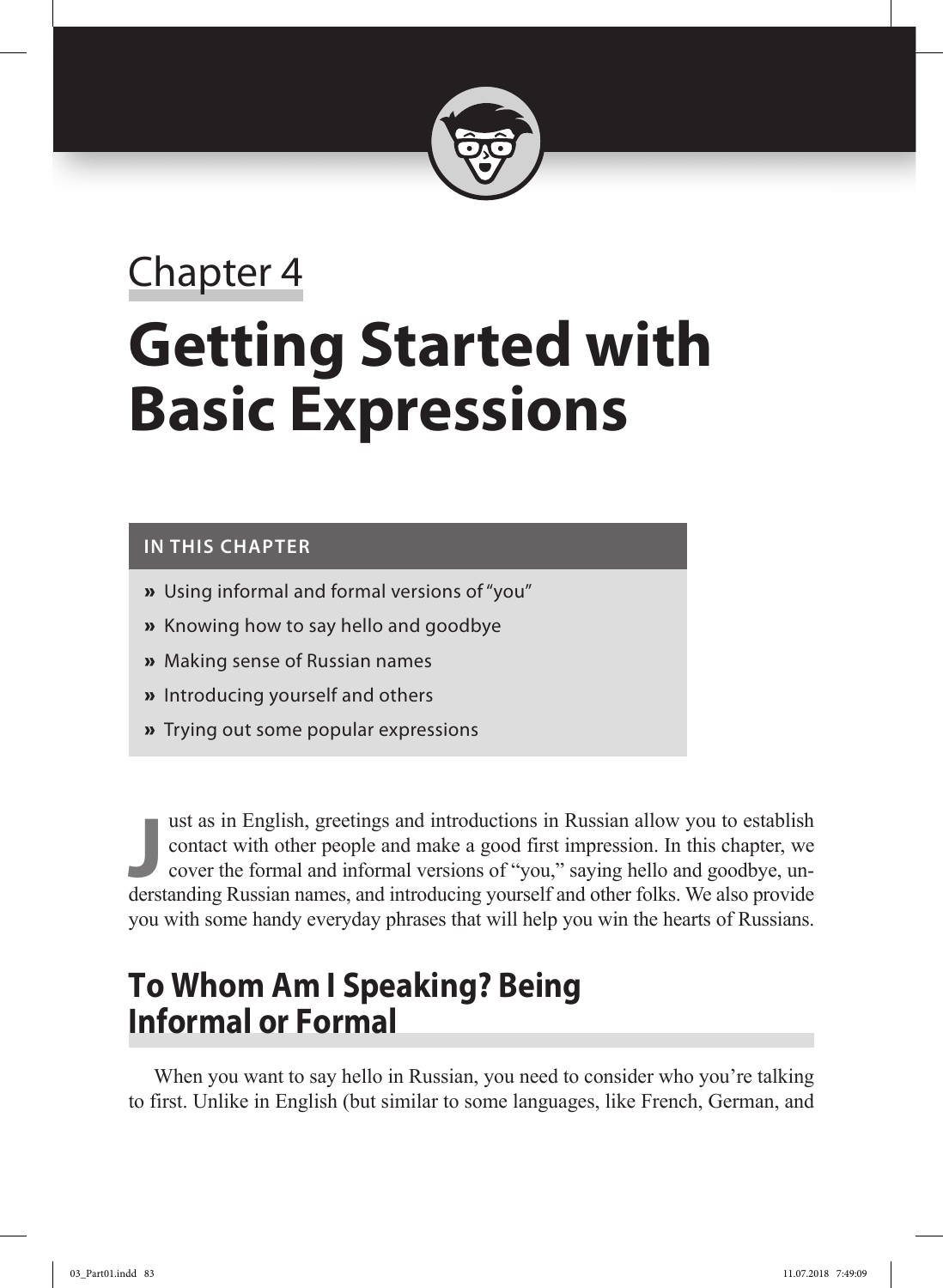

# Chapter 4 **Getting Started with Basic Expressions**

#### **In This Chapter**

- **»** Using informal and formal versions of "you"
- **»** Knowing how to say hello and goodbye
- **»** Making sense of Russian names
- **»** Introducing yourself and others
- **»** Trying out some popular expressions

**Just as in English, greetings and introductions in Russian allow you to establish contact with other people and make a good first impression. In this chapter, we cover the formal and informal versions of "you," saying hel** ust as in English, greetings and introductions in Russian allow you to establish contact with other people and make a good first impression. In this chapter, we cover the formal and informal versions of "you," saying hello and goodbye, unyou with some handy everyday phrases that will help you win the hearts of Russians.

# **To Whom Am I Speaking? Being Informal or Formal**

When you want to say hello in Russian, you need to consider who you're talking to first. Unlike in English (but similar to some languages, like French, German, and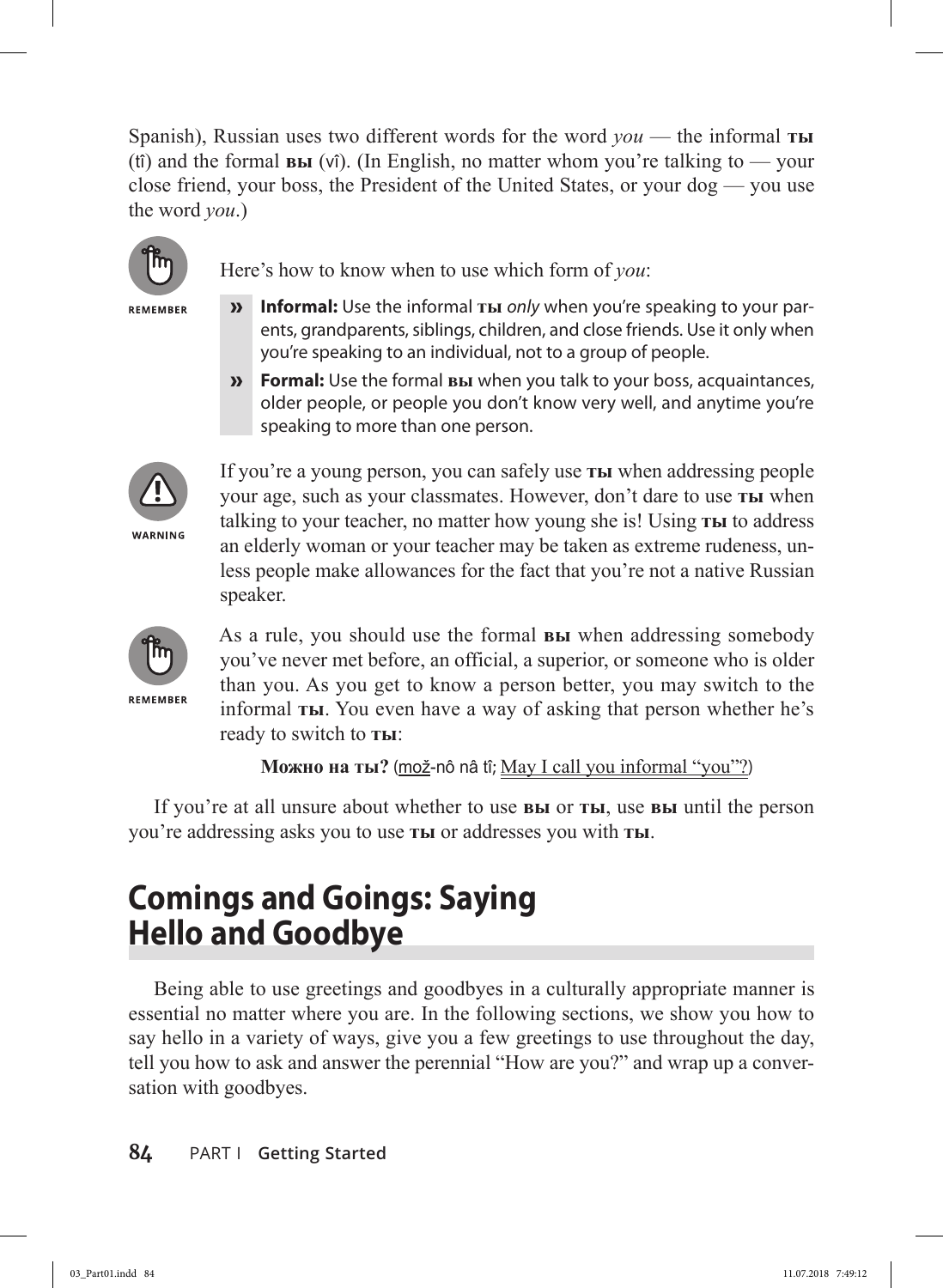Spanish), Russian uses two different words for the word *you* — the informal **ты** (tî) and the formal **вы** (vî). (In English, no matter whom you're talking to — your close friend, your boss, the President of the United States, or your dog — you use the word *you*.)



REMEMBER

Here's how to know when to use which form of *you*:

- **» Informal:** Use the informal **ты** *only* when you're speaking to your parents, grandparents, siblings, children, and close friends. Use it only when you're speaking to an individual, not to a group of people.
- **» Formal:** Use the formal **вы** when you talk to your boss, acquaintances, older people, or people you don't know very well, and anytime you're speaking to more than one person.



If you're a young person, you can safely use **ты** when addressing people your age, such as your classmates. However, don't dare to use **ты** when talking to your teacher, no matter how young she is! Using **ты** to address an elderly woman or your teacher may be taken as extreme rudeness, unless people make allowances for the fact that you're not a native Russian speaker.



REMEMBER

As a rule, you should use the formal **вы** when addressing somebody you've never met before, an official, a superior, or someone who is older than you. As you get to know a person better, you may switch to the informal **ты**. You even have a way of asking that person whether he's ready to switch to **ты**:

**Можно на ты?** (mož-nô nâ tî; May I call you informal "you"?)

If you're at all unsure about whether to use **вы** or **ты**, use **вы** until the person you're addressing asks you to use **ты** or addresses you with **ты**.

# **Comings and Goings: Saying Hello and Goodbye**

Being able to use greetings and goodbyes in a culturally appropriate manner is essential no matter where you are. In the following sections, we show you how to say hello in a variety of ways, give you a few greetings to use throughout the day, tell you how to ask and answer the perennial "How are you?" and wrap up a conversation with goodbyes.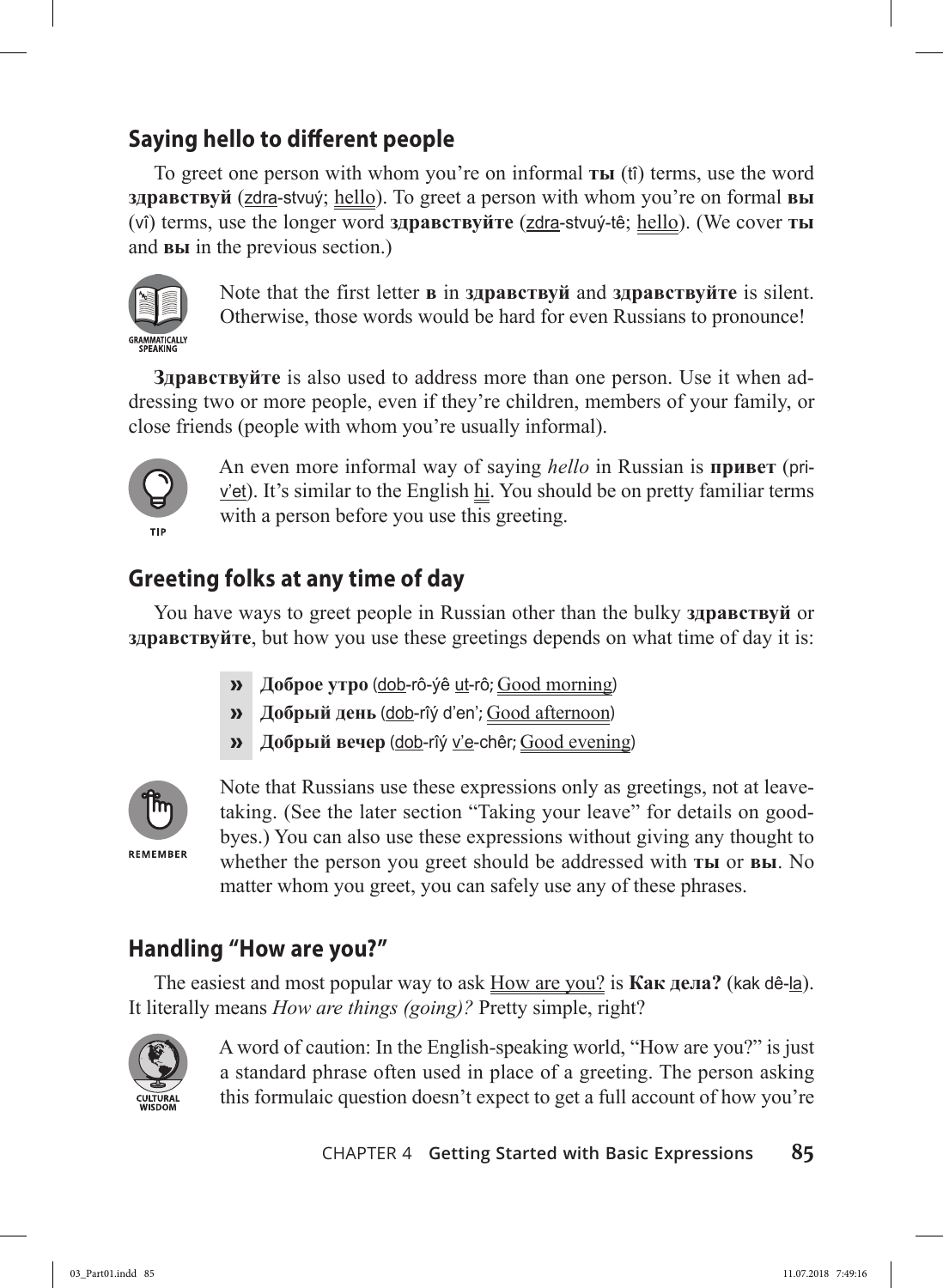# **Saying hello to different people**

To greet one person with whom you're on informal **ты** (tî) terms, use the word **здравствуй** (zdra-stvuý; hello). To greet a person with whom you're on formal **вы** (vî) terms, use the longer word **здравствуйте** (zdra-stvuý-tê; hello). (We cover **ты** and **вы** in the previous section.)



Note that the first letter **в** in **здравствуй** and **здрaвствуйте** is silent. Otherwise, those words would be hard for even Russians to pronounce!

**Здрaвствуйте** is also used to address more than one person. Use it when addressing two or more people, even if they're children, members of your family, or close friends (people with whom you're usually informal).



An even more informal way of saying *hello* in Russian is **привет** (pri $v$ 'et). It's similar to the English  $h$ . You should be on pretty familiar terms with a person before you use this greeting.

### **Greeting folks at any time of day**

You have ways to greet people in Russian other than the bulky **здрaвствуй** or **здрaвствуйте**, but how you use these greetings depends on what time of day it is:

- **» Доброе утро** (dob-rô-ýê ut-rô; Good morning)
- **» Добрый день** (dob-rîý d'en'; Good afternoon)
- **» Добрый вечер** (dob-rîý v'e-chêr; Good evening)



Note that Russians use these expressions only as greetings, not at leavetaking. (See the later section "Taking your leave" for details on goodbyes.) You can also use these expressions without giving any thought to whether the person you greet should be addressed with **ты** or **вы**. No matter whom you greet, you can safely use any of these phrases.

### **Handling "How are you?"**

The easiest and most popular way to ask How are you? is **Как дела?** (kak dê-la). It literally means *How are things (going)?* Pretty simple, right?



A word of caution: In the English-speaking world, "How are you?" is just a standard phrase often used in place of a greeting. The person asking this formulaic question doesn't expect to get a full account of how you're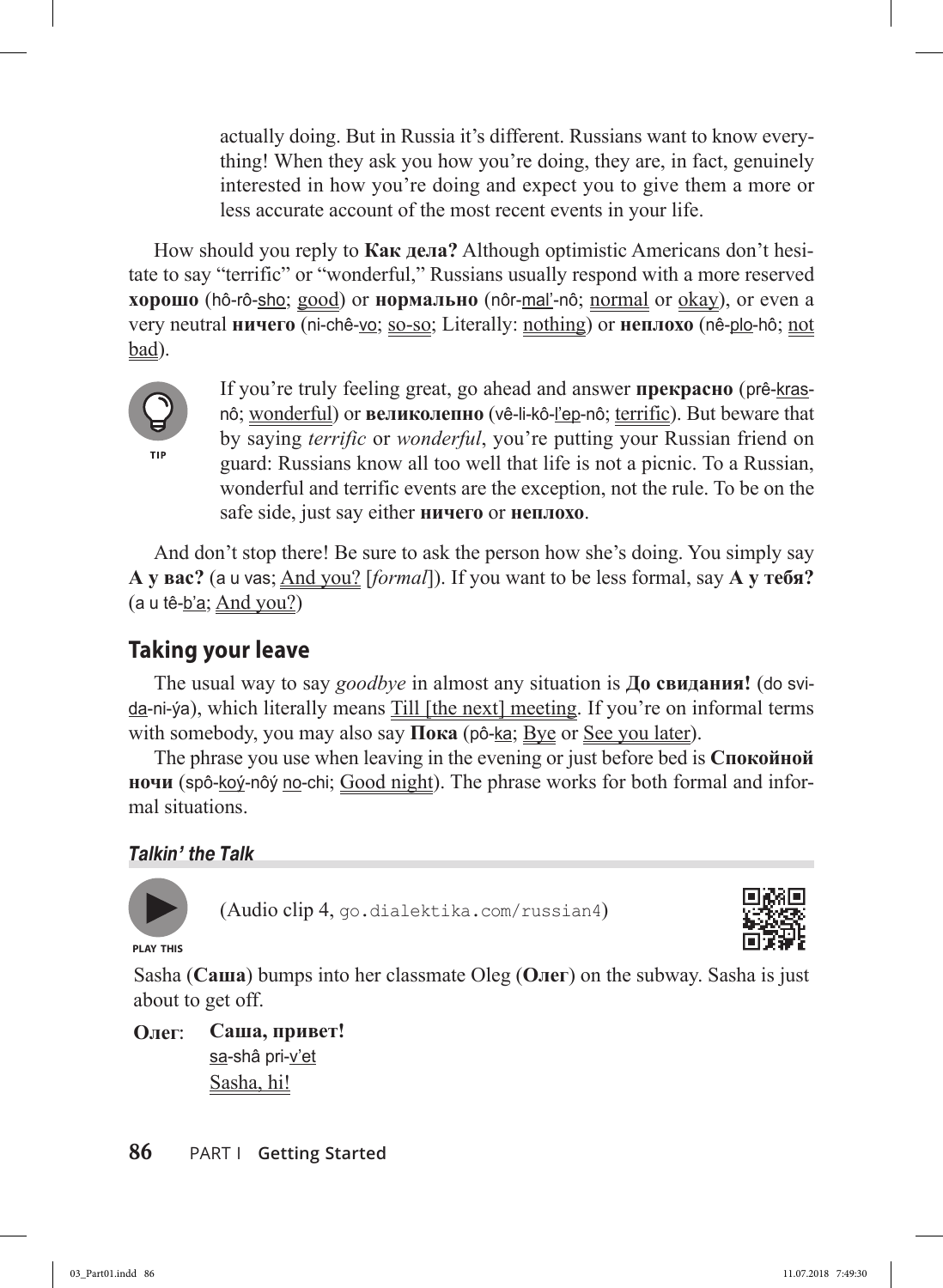actually doing. But in Russia it's different. Russians want to know everything! When they ask you how you're doing, they are, in fact, genuinely interested in how you're doing and expect you to give them a more or less accurate account of the most recent events in your life.

How should you reply to **Как дела?** Although optimistic Americans don't hesitate to say "terrific" or "wonderful," Russians usually respond with a more reserved **xорошо** (hô-rô-sho; good) or **нормально** (nôr-mal'-nô; normal or okay), or even a very neutral **ничего** (ni-chê-vo; so-so; Literally: nothing) or **неплохо** (nê-plo-hô; not bad).



If you're truly feeling great, go ahead and answer **прекрасно** (prê-krasnô; wonderful) or **великолепно** (vê-li-kô-l'ep-nô; terrific). But beware that by saying *terrific* or *wonderful*, you're putting your Russian friend on guard: Russians know all too well that life is not a picnic. To a Russian, wonderful and terrific events are the exception, not the rule. To be on the safe side, just say either **ничего** or **неплохо**.

And don't stop there! Be sure to ask the person how she's doing. You simply say **А у вас?** (a u vas; And you? [*formal*]). If you want to be less formal, say **А у тебя?**  (a u tê-b'a; And you?)

### **Taking your leave**

The usual way to say *goodbye* in almost any situation is **До свидания!** (do svida-ni-ýa), which literally means Till [the next] meeting. If you're on informal terms with somebody, you may also say **Пока** (pô-<u>ka</u>; <u>Bye</u> or <u>See you later</u>).

The phrase you use when leaving in the evening or just before bed is **Спокойной ночи** (spô-koý-nôý no-chi; Good night). The phrase works for both formal and informal situations.

#### *Talkin' the Talk*



(Audio clip 4, go.dialektika.com/russian4)



**PLAY THIS**

Sasha (**Саша**) bumps into her classmate Oleg (**Олег**) on the subway. Sasha is just about to get off.

**Олег**: **Саша, привет!** sa-shâ pri-v'et Sasha, hi!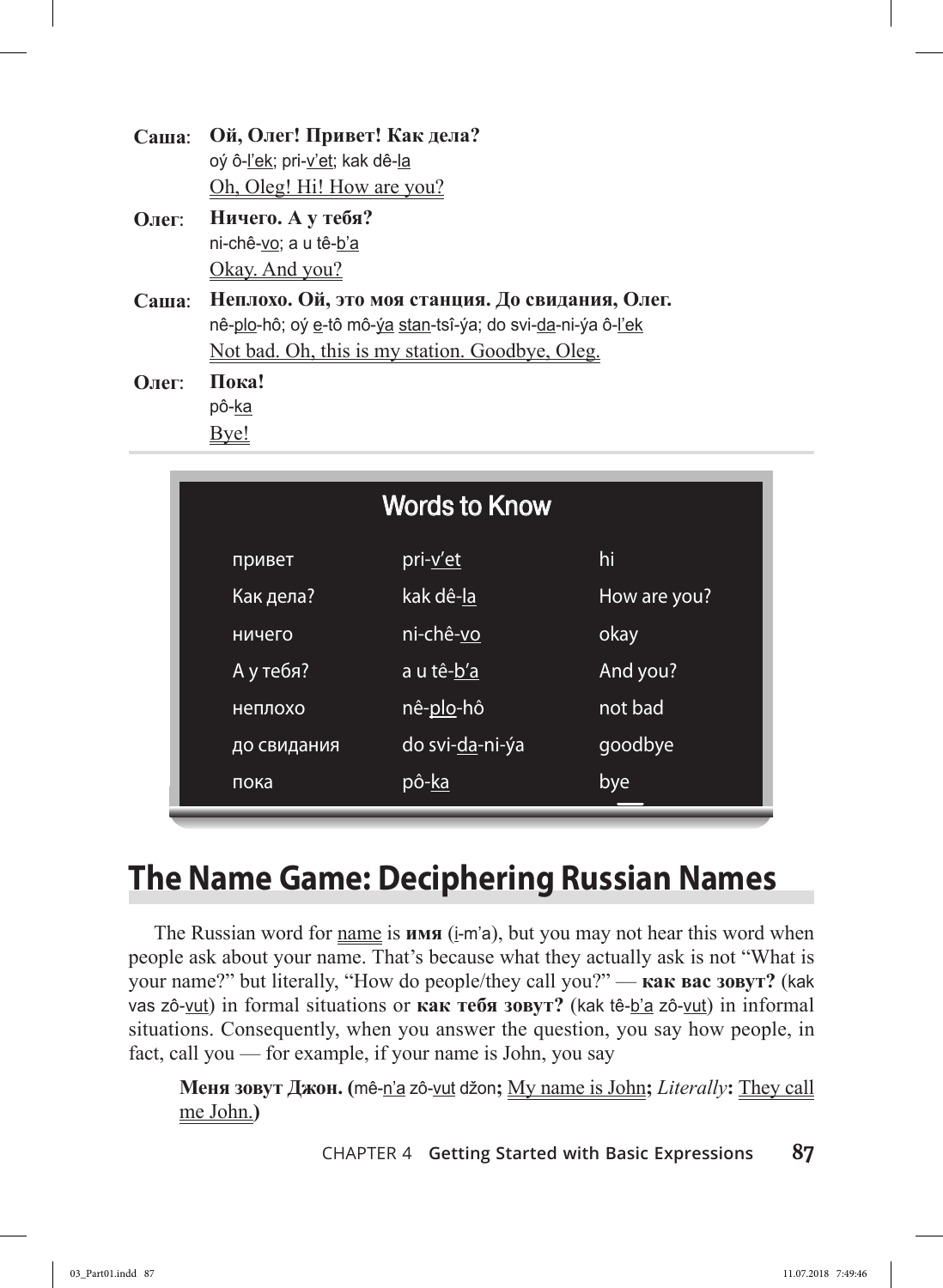| Саша: Ой, Олег! Привет! Как дела? |  |  |
|-----------------------------------|--|--|
| oý ô-l'ek; pri-v'et; kak dê-la    |  |  |
| Oh, Oleg! Hi! How are you?        |  |  |

- **Олег**: **Ничего. А у тебя?** ni-chê-vo; a u tê-b'a Okay. And you?
- **Саша**: **Неплохо. Ой, это моя станция. До свидания, Олег.** nê-plo-hô; oý e-tô mô-ýa stan-tsî-ýa; do svi-da-ni-ýa ô-l'ek Not bad. Oh, this is my station. Goodbye, Oleg.

**Олег**: **Пока!** pô-ka Bye!

| <b>Words to Know</b> |                 |              |  |
|----------------------|-----------------|--------------|--|
| привет               | pri-v'et        | hi           |  |
| Как дела?            | kak dê-la       | How are you? |  |
| ничего               | ni-chê-vo       | okay         |  |
| А у тебя?            | a u tê-b'a      | And you?     |  |
| неплохо              | nê-plo-hô       | not bad      |  |
| до свидания          | do svi-da-ni-ýa | goodbye      |  |
| пока                 | pô-ka           | bye          |  |

# **The Name Game: Deciphering Russian Names**

The Russian word for name is **имя** (i-m'a), but you may not hear this word when people ask about your name. That's because what they actually ask is not "What is your name?" but literally, "How do people/they call you?" — **как вас зовут?** (kak vas zô-vut) in formal situations or **как тебя зовут?** (kak tê-b'a zô-vut) in informal situations. Consequently, when you answer the question, you say how people, in fact, call you — for example, if your name is John, you say

**Меня зовут Джон. (**mê-n'a zô-vut džon**;** My name is John**;** *Literally***:** They call me John.**)**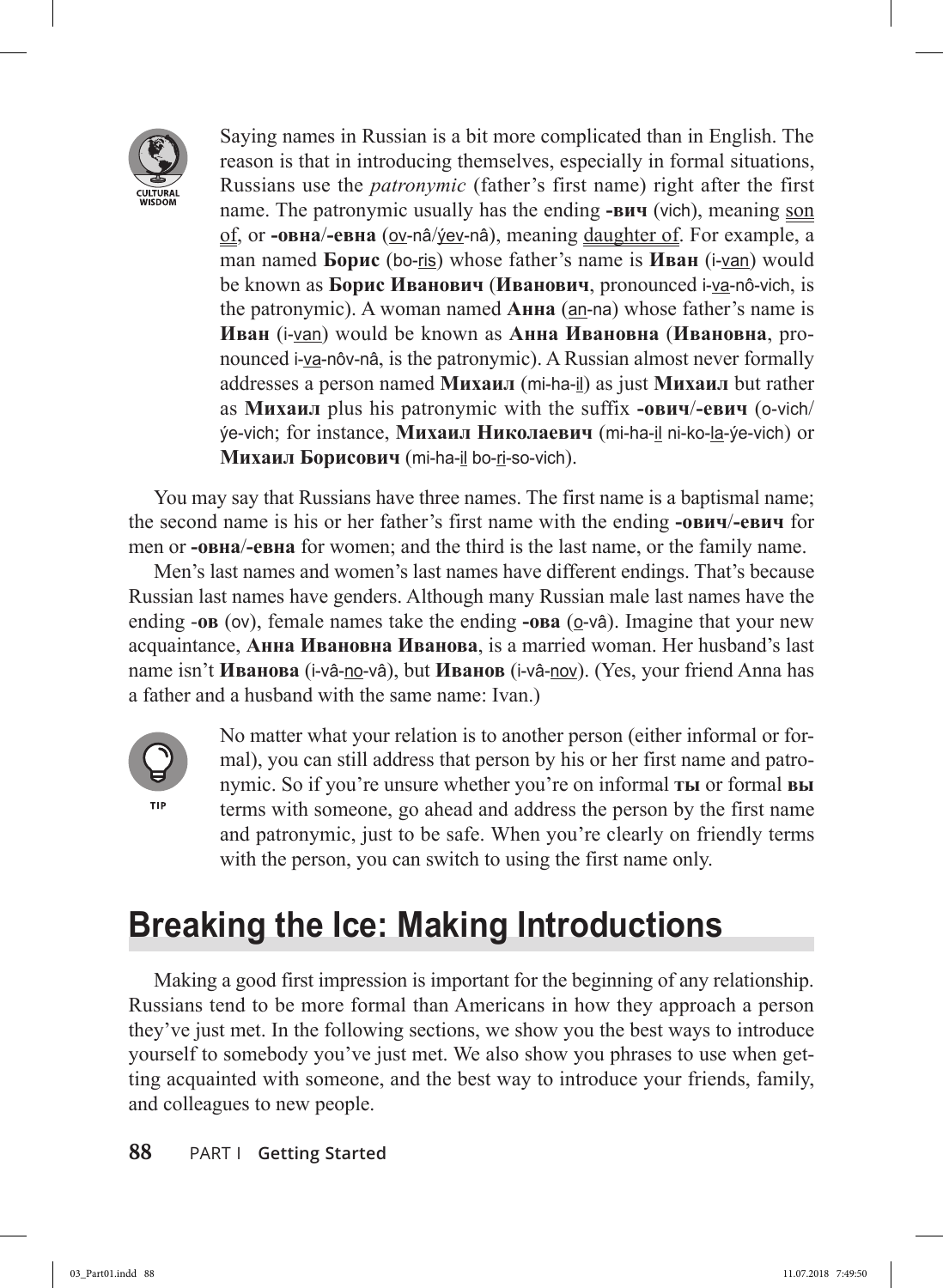

Saying names in Russian is a bit more complicated than in English. The reason is that in introducing themselves, especially in formal situations, Russians use the *patronymic* (father's first name) right after the first name. The patronymic usually has the ending **-вич** (vich), meaning son of, or **-овна**/**-евна** (ov-nâ/ýev-nâ), meaning daughter of. For example, a man named **Борис** (bo-ris) whose father's name is **Иван** (i-van) would be known as **Борис Иванович** (**Иванович**, pronounced i-va-nô-vich, is the patronymic). A woman named **Анна** (an-na) whose father's name is **Иван** (i-van) would be known as **Анна Ивановна** (**Ивановна**, pronounced i-va-nôv-nâ, is the patronymic). A Russian almost never formally addresses a person named **Михаил** (mi-ha-il) as just **Михаил** but rather as **Михаил** plus his patronymic with the suffix **-oвич**/**-евич** (o-vich/ ýe-vich; for instance, **Михаил Николаевич** (mi-ha-il ni-ko-la-ýe-vich) or **Михаил Борисович** (mi-ha-il bo-ri-so-vich).

You may say that Russians have three names. The first name is a baptismal name; the second name is his or her father's first name with the ending **-oвич**/**-евич** for men or **-овна**/**-евна** for women; and the third is the last name, or the family name.

Men's last names and women's last names have different endings. That's because Russian last names have genders. Although many Russian male last names have the ending **-oв** (ov), female names take the ending **-oва** (ov<sup>a</sup>). Imagine that your new acquaintance, **Анна Ивановна Иванова**, is a married woman. Her husband's last name isn't **Иванова** (i-vâ-no-vâ), but **Иванов** (i-vâ-nov). (Yes, your friend Anna has a father and a husband with the same name: Ivan.)



No matter what your relation is to another person (either informal or formal), you can still address that person by his or her first name and patronymic. So if you're unsure whether you're on informal **ты** or formal **вы** terms with someone, go ahead and address the person by the first name and patronymic, just to be safe. When you're clearly on friendly terms with the person, you can switch to using the first name only.

# **Breaking the Ice: Making Introductions**

Making a good first impression is important for the beginning of any relationship. Russians tend to be more formal than Americans in how they approach a person they've just met. In the following sections, we show you the best ways to introduce yourself to somebody you've just met. We also show you phrases to use when getting acquainted with someone, and the best way to introduce your friends, family, and colleagues to new people.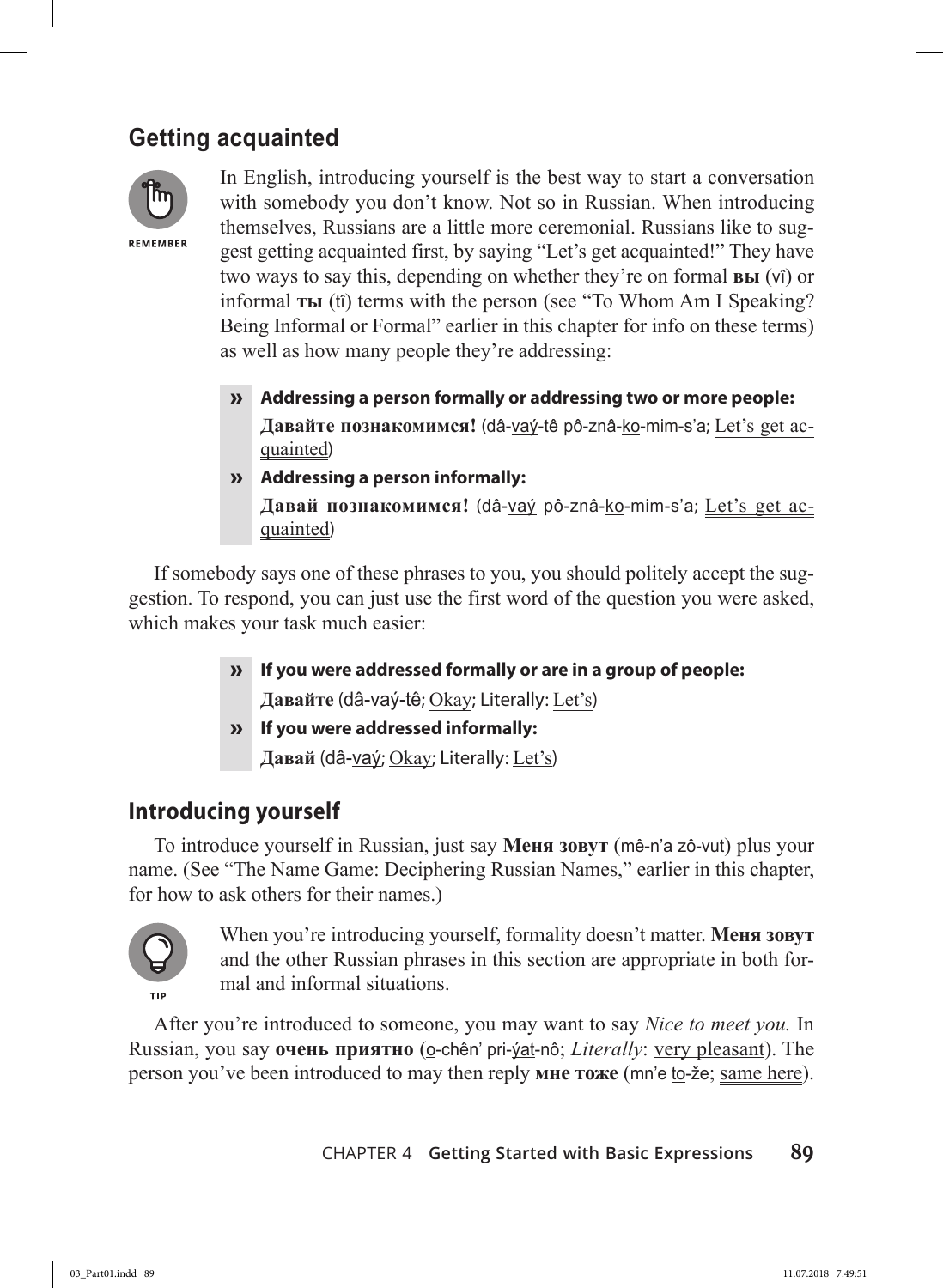# **Getting acquainted**



In English, introducing yourself is the best way to start a conversation with somebody you don't know. Not so in Russian. When introducing themselves, Russians are a little more ceremonial. Russians like to suggest getting acquainted first, by saying "Let's get acquainted!" They have two ways to say this, depending on whether they're on formal **вы** (vî) or informal **ты** (tî) terms with the person (see "To Whom Am I Speaking? Being Informal or Formal" earlier in this chapter for info on these terms) as well as how many people they're addressing:

- **» Addressing a person formally or addressing two or more people: Давайте познакомимся!** (dâ-vaý-tê pô-znâ-ko-mim-s'a; Let's get acquainted)
- **» Addressing a person informally:**

**Давай познакомимся!** (dâ-vaý pô-znâ-ko-mim-s'a; Let's get acquainted)

If somebody says one of these phrases to you, you should politely accept the suggestion. To respond, you can just use the first word of the question you were asked, which makes your task much easier:

- **» If you were addressed formally or are in a group of people: Давайте** (dâ-vaý-tê; Okay; Literally: Let's)
- **» If you were addressed informally: Давай** (dâ-vaý; Okay; Literally: Let's)

### **Introducing yourself**

To introduce yourself in Russian, just say **Меня зовут** (mê-n'a zô-vut) plus your name. (See "The Name Game: Deciphering Russian Names," earlier in this chapter, for how to ask others for their names.)



When you're introducing yourself, formality doesn't matter. **Меня зовут** and the other Russian phrases in this section are appropriate in both formal and informal situations.

After you're introduced to someone, you may want to say *Nice to meet you.* In Russian, you say **очень приятно** (o-chên' pri-ýat-nô; *Literally*: very pleasant). The person you've been introduced to may then reply **мне тоже** (mn'e to-že; same here).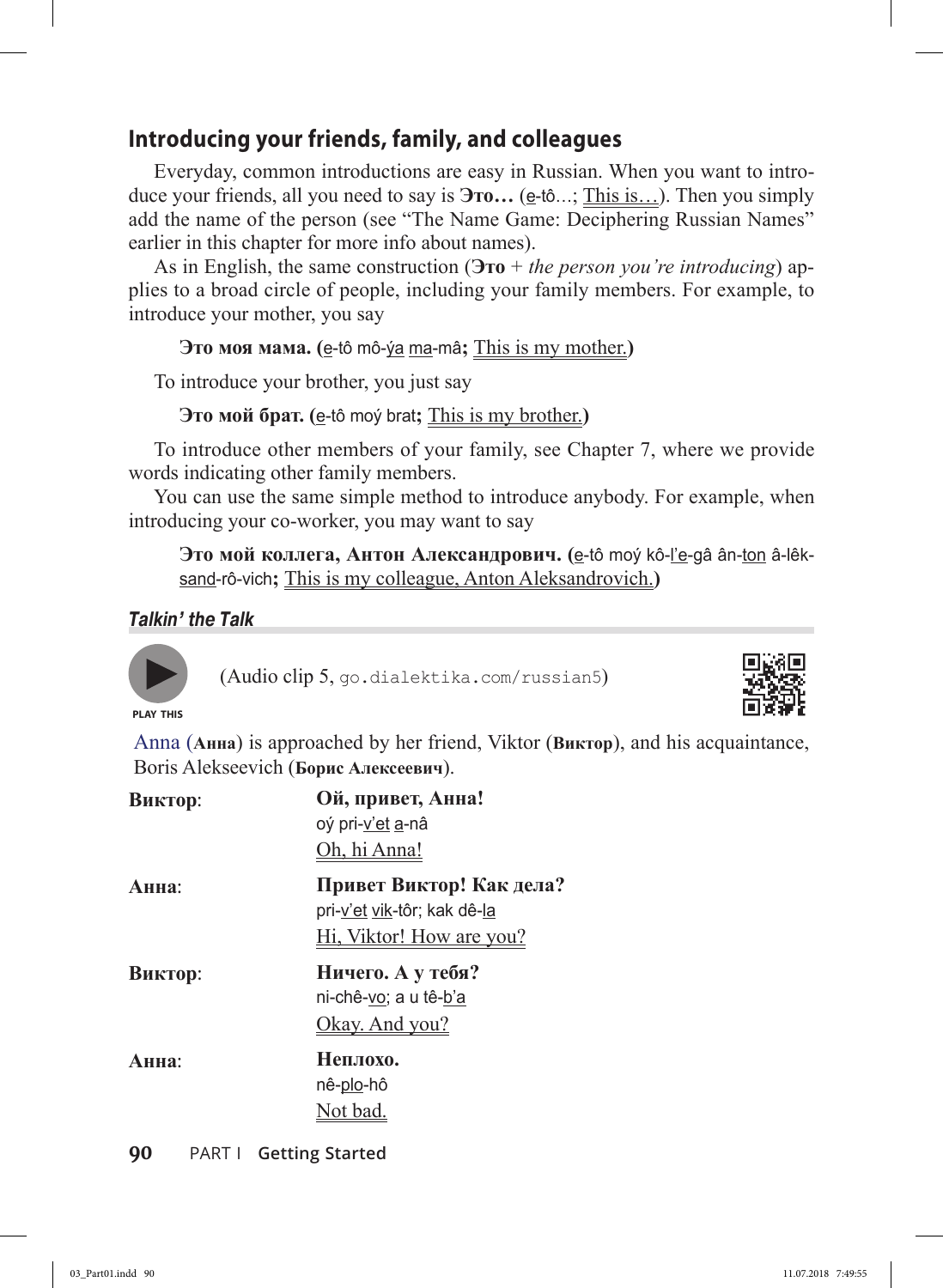### **Introducing your friends, family, and colleagues**

Everyday, common introductions are easy in Russian. When you want to introduce your friends, all you need to say is  $\overline{3}$ **ro...** (e-tô...; This is...). Then you simply add the name of the person (see "The Name Game: Deciphering Russian Names" earlier in this chapter for more info about names).

As in English, the same construction (**Это** + *the person you're introducing*) applies to a broad circle of people, including your family members. For example, to introduce your mother, you say

#### **Это моя мама. (**e-tô mô-ýa ma-mâ**;** This is my mother.**)**

To introduce your brother, you just say

**Это мой брат. (**e-tô moý brat**;** This is my brother.**)**

To introduce other members of your family, see Chapter 7, where we provide words indicating other family members.

You can use the same simple method to introduce anybody. For example, when introducing your co-worker, you may want to say

**Это мой коллега, Антон Александрович. (**e-tô moý kô-l'e-gâ ân-ton â-lêksand-rô-vich**;** This is my colleague, Anton Aleksandrovich.**)**

```
Talkin' the Talk
```


(Audio clip 5, go.dialektika.com/russian5)



**PLAY THIS**

Anna (**Анна**) is approached by her friend, Viktor (**Виктор**), and his acquaintance, Boris Alekseevich (**Борис Алексеевич**).

| Виктор: | Ой, привет, Анна!<br>oý pri-v'et a-nâ<br>Oh, hi Anna!                                      |
|---------|--------------------------------------------------------------------------------------------|
| Анна:   | Привет Виктор! Как дела?<br>pri-v'et vik-tôr; kak dê-la<br><u>Hi, Viktor! How are you?</u> |
| Виктор: | Ничего. А у тебя?<br>ni-chê-vo; a u tê-b'a<br>Okay. And you?                               |
| Анна:   | Неплохо.<br>nê-plo-hô<br>Not bad.                                                          |
| 90      | <b>PART I</b> Getting Started                                                              |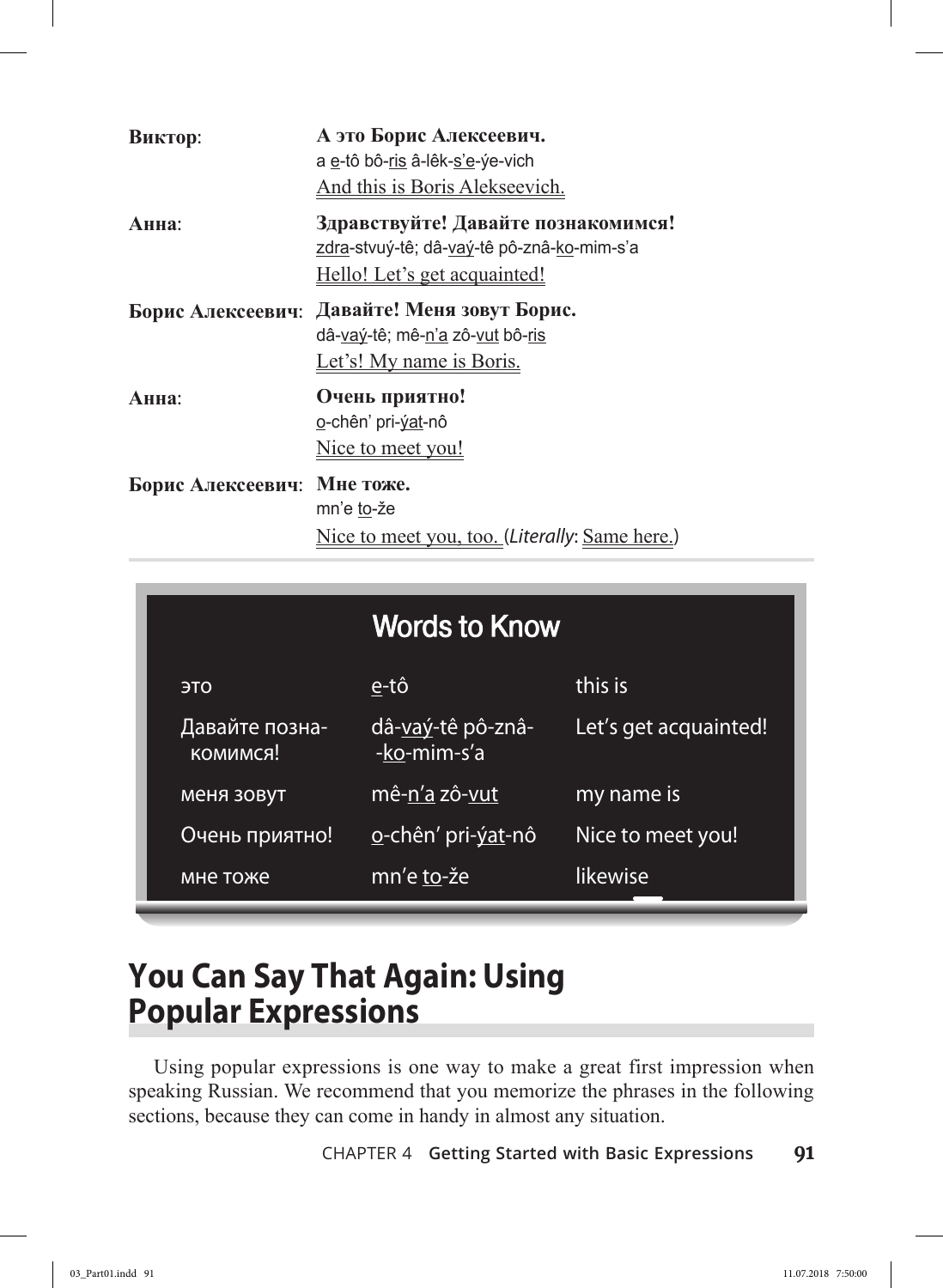| Виктор:           | А это Борис Алексеевич.<br>a e-tô bô-ris â-lêk-s'e-ýe-vich<br>And this is Boris Alekseevich.                      |
|-------------------|-------------------------------------------------------------------------------------------------------------------|
| Анна:             | Здравствуйте! Давайте познакомимся!<br>zdra-stvuý-tê; dâ-vaý-tê pô-znâ-ko-mim-s'a<br>Hello! Let's get acquainted! |
|                   | Борис Алексеевич: Давайте! Меня зовут Борис.<br>dâ-vav-tê; mê-n'a zô-vut bô-ris<br>Let's! My name is Boris.       |
| Анна:             | Очень приятно!<br>o-chên' pri- <u>ýat</u> -nô<br>Nice to meet you!                                                |
| Борис Алексеевич: | Мне тоже.<br>mn'e to-že<br>Nice to meet you, too. (Literally: Same here.)                                         |

|                            | <b>Words to Know</b>                     |                       |
|----------------------------|------------------------------------------|-----------------------|
| <b>OTE</b>                 | e-tô                                     | this is               |
| Давайте позна-<br>комимся! | <u>dâ-vaý</u> -tê pô-znâ-<br>-ko-mim-s'a | Let's get acquainted! |
| меня зовут                 | mê-n'a zô-vut                            | my name is            |
| Очень приятно!             | o-chên' pri- <u>ýat</u> -nô              | Nice to meet you!     |
| мне тоже                   | <u>mn'e to</u> -že                       | likewise              |

# **You Can Say That Again: Using Popular Expressions**

Using popular expressions is one way to make a great first impression when speaking Russian. We recommend that you memorize the phrases in the following sections, because they can come in handy in almost any situation.

Chapter 4 **Getting Started with Basic Expressions 91**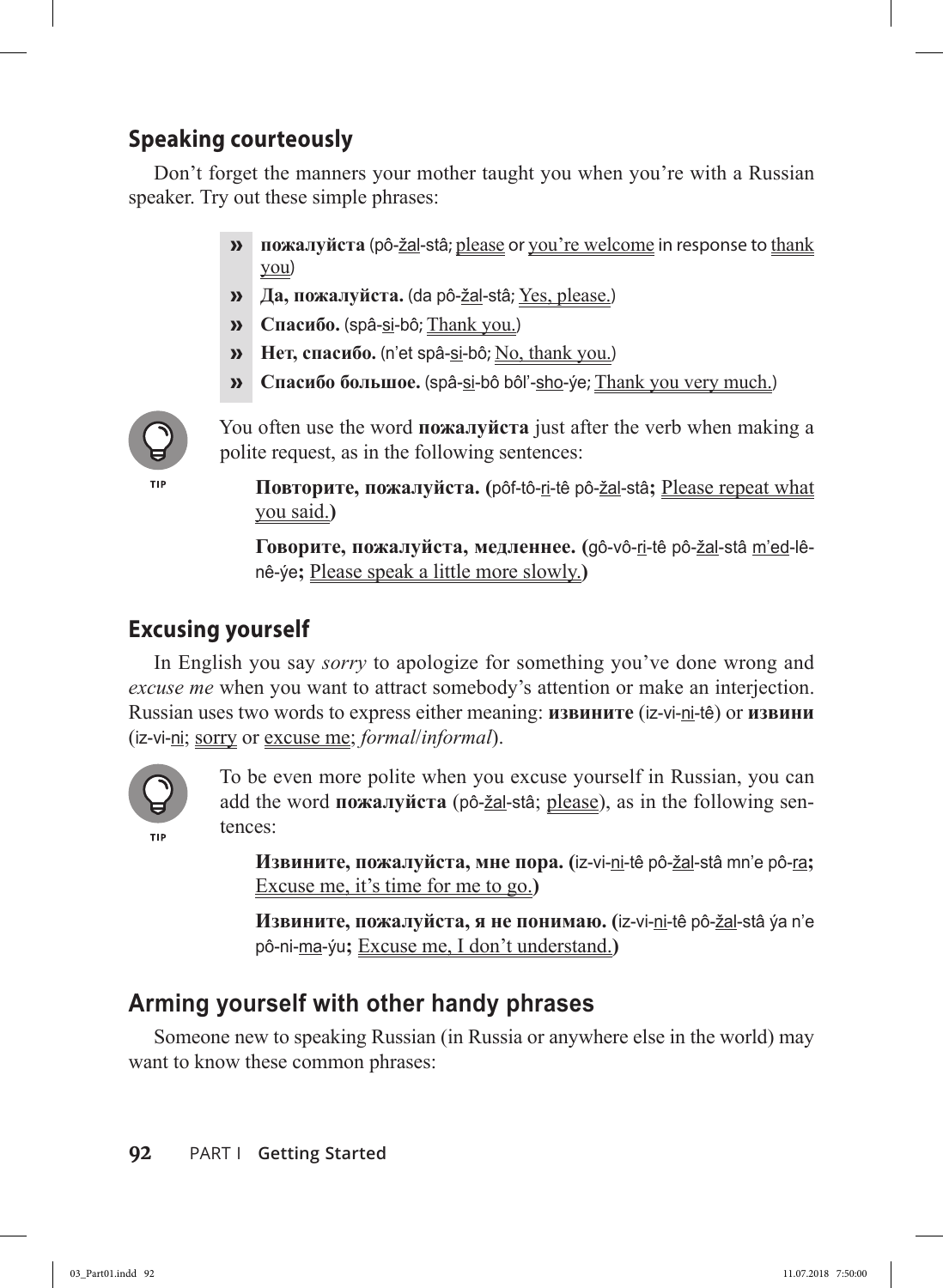# **Speaking courteously**

Don't forget the manners your mother taught you when you're with a Russian speaker. Try out these simple phrases:

- **» пожалуйста** (pô-žal-stâ; please or you're welcome in response to thank you)
- **» Да, пожалуйста.** (da pô-žal-stâ; Yes, please.)
- **» Спасибо.** (spâ-si-bô; Thank you.)
- **» Нет, спасибо.** (n'et spâ-si-bô; No, thank you.)
- **» Спасибо большое.** (spâ-si-bô bôl'-sho-ýe; Thank you very much.)



You often use the word **пожалуйста** just after the verb when making a polite request, as in the following sentences:

**Повторите, пожалуйста. (**pôf-tô-ri-tê pô-žal-stâ**;** Please repeat what you said.**)**

**Говорите, пожалуйста, медленнее. (**gô-vô-ri-tê pô-žal-stâ m'ed-lênê-ýe**;** Please speak a little more slowly.**)**

# **Excusing yourself**

In English you say *sorry* to apologize for something you've done wrong and *excuse me* when you want to attract somebody's attention or make an interjection. Russian uses two words to express either meaning: **извините** (iz-vi-ni-tê) or **извини** (iz-vi-ni; sorry or excuse me; *formal*/*informal*).



To be even more polite when you excuse yourself in Russian, you can add the word **пожалуйста** (pô-žal-stâ; please), as in the following sentences:

**Извините, пожалуйста, мне пора. (**iz-vi-ni-tê pô-žal-stâ mn'e pô-ra**;**  Excuse me, it's time for me to go.**)**

**Извините, пожалуйста, я не понимаю. (**iz-vi-ni-tê pô-žal-stâ ýa n'e pô-ni-ma-ýu**;** Excuse me, I don't understand.**)**

# **Arming yourself with other handy phrases**

Someone new to speaking Russian (in Russia or anywhere else in the world) may want to know these common phrases: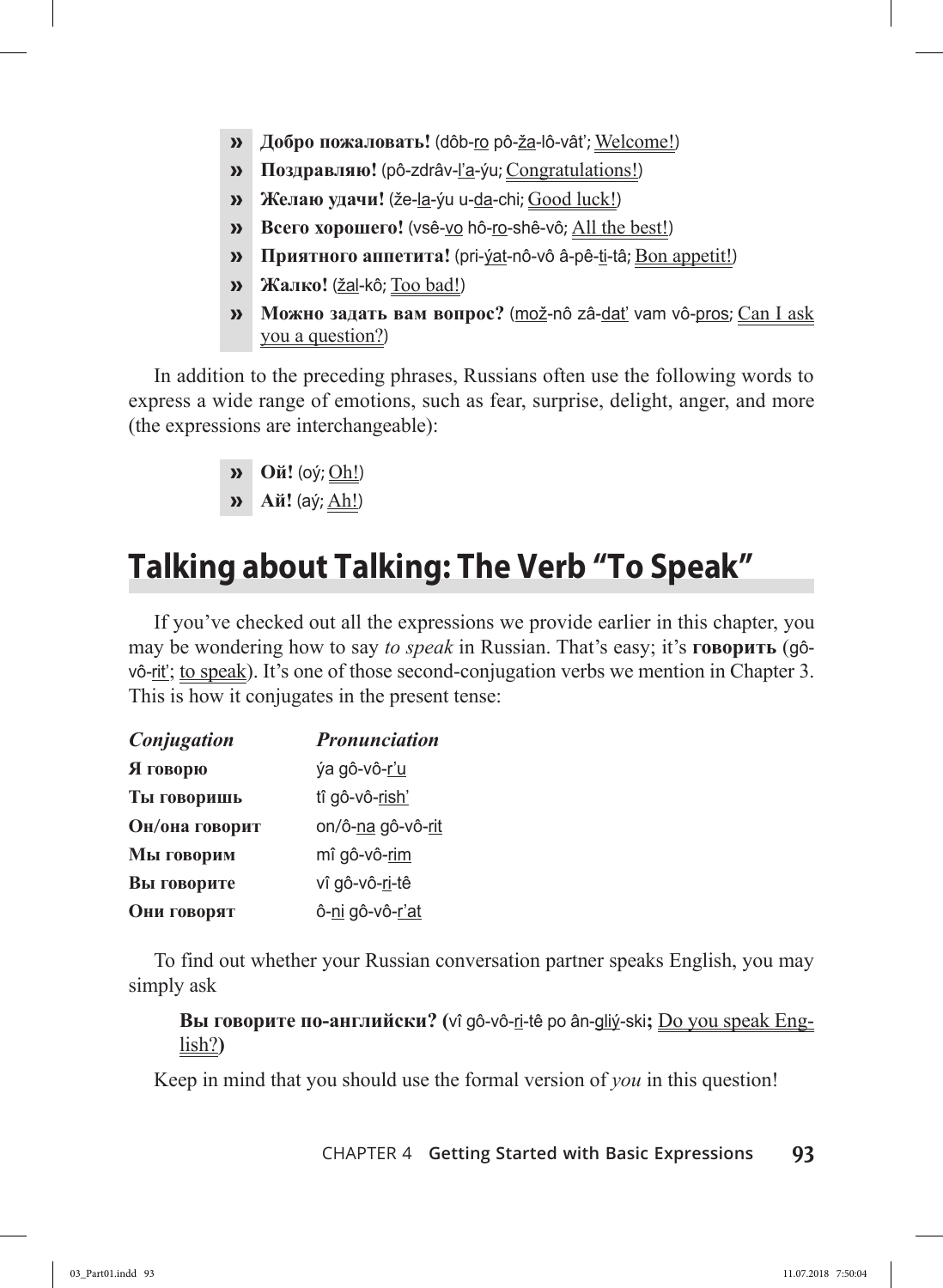- **» Добро пожаловать!** (dôb-ro pô-ža-lô-vât'; Welcome!)
- **» Поздравляю!** (pô-zdrâv-l'a-ýu; Congratulations!)
- **» Желаю удачи!** (že-la-ýu u-da-chi; Good luck!)
- **» Всего хорошего!** (vsê-vo hô-ro-shê-vô; All the best!)
- **» Приятного аппетита!** (pri-ýat-nô-vô â-pê-ti-tâ; Bon appetit!)
- **» Жaлко!** (žal-kô; Too bad!)
- **» Можно задать вам вопрос?** (mož-nô zâ-dat' vam vô-pros; Can I ask you a question?)

In addition to the preceding phrases, Russians often use the following words to express a wide range of emotions, such as fear, surprise, delight, anger, and more (the expressions are interchangeable):

- **» Ой!** (oý; Oh!)
- **» Ай!** (aý; Ah!)

# **Talking about Talking: The Verb "To Speak"**

If you've checked out all the expressions we provide earlier in this chapter, you may be wondering how to say *to speak* in Russian. That's easy; it's **говорить** (gôvô-rit'; to speak). It's one of those second-conjugation verbs we mention in Chapter 3. This is how it conjugates in the present tense:

| Conjugation    | <b>Pronunciation</b> |  |
|----------------|----------------------|--|
| Я говорю       | ýa gô-vô-r'u         |  |
| Ты говоришь    | tî gô-vô-rish'       |  |
| Он/она говорит | on/ô-na gô-vô-rit    |  |
| Мы говорим     | mî gô-vô-rim         |  |
| Вы говорите    | vî gô-vô-ri-tê       |  |
| Они говорят    | ô-ni gô-vô-r'at      |  |

To find out whether your Russian conversation partner speaks English, you may simply ask

**Вы говорите по-английски? (**vî gô-vô-ri-tê po ân-gliý-ski**;** Do you speak English?**)**

Keep in mind that you should use the formal version of *you* in this question!

Chapter 4 **Getting Started with Basic Expressions 93**